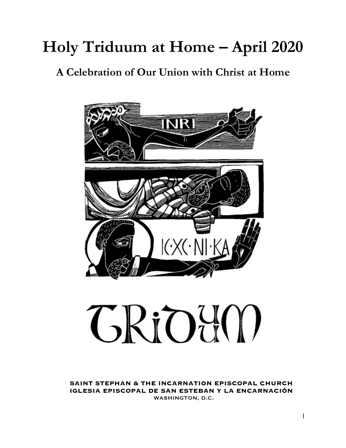## **Holy Triduum at Home – April 2020**

### **A Celebration of Our Union with Christ at Home**



# GRiOUM

**SAINT STEPHAN & THE INCARNATION EPISCOPAL CHURCH IGLESIA EPISCOPAL DE SAN ESTEBAN Y LA ENCARNACIÓN** WASHINGTON, D.C.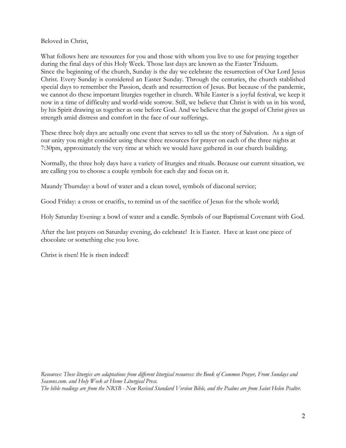#### Beloved in Christ,

What follows here are resources for you and those with whom you live to use for praying together during the final days of this Holy Week. Those last days are known as the Easter Triduum. Since the beginning of the church, Sunday is the day we celebrate the resurrection of Our Lord Jesus Christ. Every Sunday is considered an Easter Sunday. Through the centuries, the church stablished special days to remember the Passion, death and resurrection of Jesus. But because of the pandemic, we cannot do these important liturgies together in church. While Easter is a joyful festival, we keep it now in a time of difficulty and world-wide sorrow. Still, we believe that Christ is with us in his word, by his Spirit drawing us together as one before God. And we believe that the gospel of Christ gives us strength amid distress and comfort in the face of our sufferings.

These three holy days are actually one event that serves to tell us the story of Salvation. As a sign of our unity you might consider using these three resources for prayer on each of the three nights at 7:30pm, approximately the very time at which we would have gathered in our church building.

Normally, the three holy days have a variety of liturgies and rituals. Because our current situation, we are calling you to choose a couple symbols for each day and focus on it.

Maundy Thursday: a bowl of water and a clean towel, symbols of diaconal service;

Good Friday: a cross or crucifix, to remind us of the sacrifice of Jesus for the whole world;

Holy Saturday Evening: a bowl of water and a candle. Symbols of our Baptismal Covenant with God.

After the last prayers on Saturday evening, do celebrate! It is Easter. Have at least one piece of chocolate or something else you love.

Christ is risen! He is risen indeed!

Resources: These liturgies are adaptations from different liturgical resources: the Book of Common Prayer, From Sundays and *Seasons.com. and Holy Week at Home Liturgical Press.* The bible readings are from the NRSB - New Revised Standard Version Bible, and the Psalms are from Saint Helen Psalter.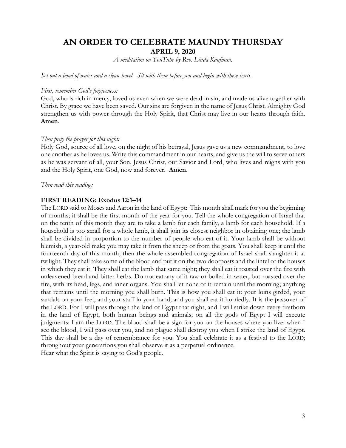#### **AN ORDER TO CELEBRATE MAUNDY THURSDAY**

**APRIL 9, 2020**

*A meditation on YouTube by Rev. Linda Kaufman.*

Set out a bowl of water and a clean towel. Sit with them before you and begin with these texts.

#### *First, remember God's forgiveness:*

God, who is rich in mercy, loved us even when we were dead in sin, and made us alive together with Christ. By grace we have been saved. Our sins are forgiven in the name of Jesus Christ. Almighty God strengthen us with power through the Holy Spirit, that Christ may live in our hearts through faith. **Amen**.

#### *Then pray the prayer for this night:*

Holy God, source of all love, on the night of his betrayal, Jesus gave us a new commandment, to love one another as he loves us. Write this commandment in our hearts, and give us the will to serve others as he was servant of all, your Son, Jesus Christ, our Savior and Lord, who lives and reigns with you and the Holy Spirit, one God, now and forever. **Amen.**

#### *Then read this reading:*

#### **FIRST READING: Exodus 12:1–14**

The LORD said to Moses and Aaron in the land of Egypt: This month shall mark for you the beginning of months; it shall be the first month of the year for you. Tell the whole congregation of Israel that on the tenth of this month they are to take a lamb for each family, a lamb for each household. If a household is too small for a whole lamb, it shall join its closest neighbor in obtaining one; the lamb shall be divided in proportion to the number of people who eat of it. Your lamb shall be without blemish, a year-old male; you may take it from the sheep or from the goats. You shall keep it until the fourteenth day of this month; then the whole assembled congregation of Israel shall slaughter it at twilight. They shall take some of the blood and put it on the two doorposts and the lintel of the houses in which they eat it. They shall eat the lamb that same night; they shall eat it roasted over the fire with unleavened bread and bitter herbs. Do not eat any of it raw or boiled in water, but roasted over the fire, with its head, legs, and inner organs. You shall let none of it remain until the morning; anything that remains until the morning you shall burn. This is how you shall eat it: your loins girded, your sandals on your feet, and your staff in your hand; and you shall eat it hurriedly. It is the passover of the LORD. For I will pass through the land of Egypt that night, and I will strike down every firstborn in the land of Egypt, both human beings and animals; on all the gods of Egypt I will execute judgments: I am the LORD. The blood shall be a sign for you on the houses where you live: when I see the blood, I will pass over you, and no plague shall destroy you when I strike the land of Egypt. This day shall be a day of remembrance for you. You shall celebrate it as a festival to the LORD; throughout your generations you shall observe it as a perpetual ordinance. Hear what the Spirit is saying to God's people.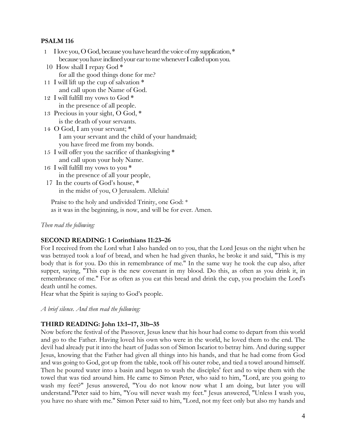#### **PSALM 116**

- 1 Ilove you, O God, because you have heard the voice of my supplication, \* because you have inclined your ear to me whenever I called upon you.
- 10 How shall I repay God \* for all the good things done for me?
- 11 I will lift up the cup of salvation \* and call upon the Name of God.
- 12 I will fulfill my vows to God \* in the presence of all people.
- 13 Precious in your sight, O God, \* is the death of your servants.
- 14 O God, I am your servant; \* I am your servant and the child of your handmaid; you have freed me from my bonds.
- 15 I will offer you the sacrifice of thanksgiving \* and call upon your holy Name.
- 16 I will fulfill my vows to you \* in the presence of all your people,
- 17 In the courts of God's house, \* in the midst of you, O Jerusalem. Alleluia!

Praise to the holy and undivided Trinity, one God: \* as it was in the beginning, is now, and will be for ever. Amen.

#### *Then read the following:*

#### **SECOND READING: 1 Corinthians 11:23–26**

For I received from the Lord what I also handed on to you, that the Lord Jesus on the night when he was betrayed took a loaf of bread, and when he had given thanks, he broke it and said, "This is my body that is for you. Do this in remembrance of me." In the same way he took the cup also, after supper, saying, "This cup is the new covenant in my blood. Do this, as often as you drink it, in remembrance of me." For as often as you eat this bread and drink the cup, you proclaim the Lord's death until he comes.

Hear what the Spirit is saying to God's people.

*A brief silence. And then read the following:*

#### **THIRD READING: John 13:1–17, 31b–35**

Now before the festival of the Passover, Jesus knew that his hour had come to depart from this world and go to the Father. Having loved his own who were in the world, he loved them to the end. The devil had already put it into the heart of Judas son of Simon Iscariot to betray him. And during supper Jesus, knowing that the Father had given all things into his hands, and that he had come from God and was going to God, got up from the table, took off his outer robe, and tied a towel around himself. Then he poured water into a basin and began to wash the disciples' feet and to wipe them with the towel that was tied around him. He came to Simon Peter, who said to him, "Lord, are you going to wash my feet?" Jesus answered, "You do not know now what I am doing, but later you will understand."Peter said to him, "You will never wash my feet." Jesus answered, "Unless I wash you, you have no share with me." Simon Peter said to him, "Lord, not my feet only but also my hands and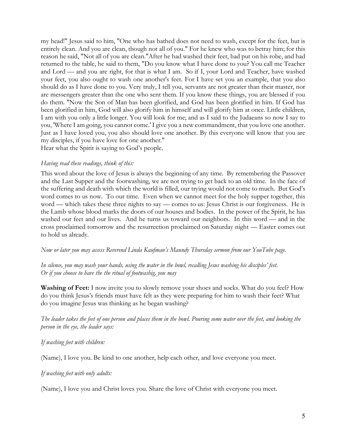my head!" Jesus said to him, "One who has bathed does not need to wash, except for the feet, but is entirely clean. And you are clean, though not all of you." For he knew who was to betray him; for this reason he said, "Not all of you are clean."After he had washed their feet, had put on his robe, and had returned to the table, he said to them, "Do you know what I have done to you? You call me Teacher and Lord — and you are right, for that is what I am. So if I, your Lord and Teacher, have washed your feet, you also ought to wash one another's feet. For I have set you an example, that you also should do as I have done to you. Very truly, I tell you, servants are not greater than their master, nor are messengers greater than the one who sent them. If you know these things, you are blessed if you do them. "Now the Son of Man has been glorified, and God has been glorified in him. If God has been glorified in him, God will also glorify him in himself and will glorify him at once. Little children, I am with you only a little longer. You will look for me; and as I said to the Judaeans so now I say to you, 'Where I am going, you cannot come.' I give you a new commandment, that you love one another. Just as I have loved you, you also should love one another. By this everyone will know that you are my disciples, if you have love for one another." Hear what the Spirit is saying to God's people.

#### *Having read these readings, think of this:*

This word about the love of Jesus is always the beginning of any time. By remembering the Passover and the Last Supper and the footwashing, we are not trying to get back to an old time. In the face of the suffering and death with which the world is filled, our trying would not come to much. But God's word comes to us now. To our time. Even when we cannot meet for the holy supper together, this word — which takes these three nights to say — comes to us: Jesus Christ is our forgiveness. He is the Lamb whose blood marks the doors of our houses and bodies. In the power of the Spirit, he has washed our feet and our lives. And he turns us toward our neighbors. In this word — and in the cross proclaimed tomorrow and the resurrection proclaimed on Saturday night — Easter comes out to hold us already.

*Now or later you may access Reverend Linda Kaufman's Maundy Thursday sermon from our YouTube page.*

In silence, you may wash your hands, using the water in the bowl, recalling Jesus washing his disciples' feet. *Or if you choose to have the the ritual of footwashig, you may*

**Washing of Feet:** I now invite you to slowly remove your shoes and socks. What do you feel? How do you think Jesus's friends must have felt as they were preparing for him to wash their feet? What do you imagine Jesus was thinking as he began washing?

*The leader takes the feet of one person and places them in the bowl. Pouring some water over the feet, and looking the person in the eye, the leader says:* 

#### *If washing feet with children:*

(Name), I love you. Be kind to one another, help each other, and love everyone you meet.

*If washing feet with only adults:* 

(Name), I love you and Christ loves you. Share the love of Christ with everyone you meet.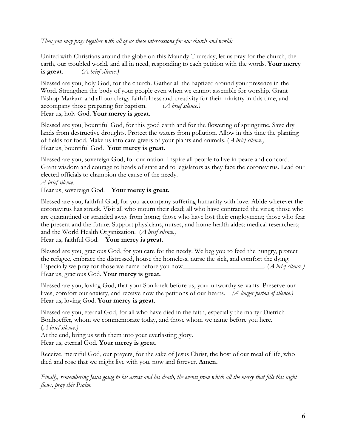*Then you may pray together with all of us these intercessions for our church and world:*

United with Christians around the globe on this Maundy Thursday, let us pray for the church, the earth, our troubled world, and all in need, responding to each petition with the words. **Your mercy is great**. (*A brief silence.)*

Blessed are you, holy God, for the church. Gather all the baptized around your presence in the Word. Strengthen the body of your people even when we cannot assemble for worship. Grant Bishop Mariann and all our clergy faithfulness and creativity for their ministry in this time, and accompany those preparing for baptism. (*A brief silence.)* Hear us, holy God. **Your mercy is great.**

Blessed are you, bountiful God, for this good earth and for the flowering of springtime. Save dry lands from destructive droughts. Protect the waters from pollution. Allow in this time the planting of fields for food. Make us into care-givers of your plants and animals. (*A brief silence.)* Hear us, bountiful God.**Your mercy is great.**

Blessed are you, sovereign God, for our nation. Inspire all people to live in peace and concord. Grant wisdom and courage to heads of state and to legislators as they face the coronavirus. Lead our elected officials to champion the cause of the needy.

*A brief silence.*

Hear us, sovereign God. **Your mercy is great.**

Blessed are you, faithful God, for you accompany suffering humanity with love. Abide wherever the coronavirus has struck. Visit all who mourn their dead; all who have contracted the virus; those who are quarantined or stranded away from home; those who have lost their employment; those who fear the present and the future. Support physicians, nurses, and home health aides; medical researchers; and the World Health Organization. (*A brief silence.)*

Hear us, faithful God. **Your mercy is great.**

Blessed are you, gracious God, for you care for the needy. We beg you to feed the hungry, protect the refugee, embrace the distressed, house the homeless, nurse the sick, and comfort the dying. Especially we pray for those we name before you now\_\_\_\_\_\_\_\_\_\_\_\_\_\_\_\_\_\_\_\_\_\_\_\_. (*A brief silence.)* Hear us, gracious God. **Your mercy is great.**

Blessed are you, loving God, that your Son knelt before us, your unworthy servants. Preserve our lives, comfort our anxiety, and receive now the petitions of our hearts. *(A longer period of silence.)* Hear us, loving God. **Your mercy is great.**

Blessed are you, eternal God, for all who have died in the faith, especially the martyr Dietrich Bonhoeffer, whom we commemorate today, and those whom we name before you here. (*A brief silence.)*

At the end, bring us with them into your everlasting glory.

Hear us, eternal God. **Your mercy is great.**

Receive, merciful God, our prayers, for the sake of Jesus Christ, the host of our meal of life, who died and rose that we might live with you, now and forever. **Amen.**

Finally, remembering Jesus going to his arrest and his death, the events from which all the mercy that fills this night *flows, pray this Psalm.*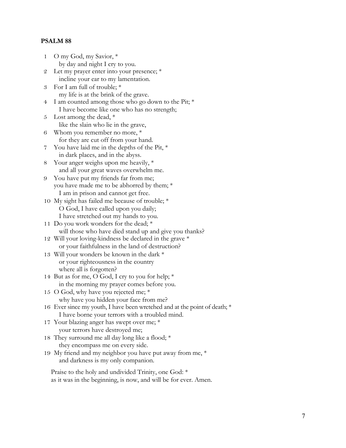#### **PSALM 88**

1 O my God, my Savior, \* by day and night I cry to you. 2 Let my prayer enter into your presence; \* incline your ear to my lamentation. 3 For I am full of trouble; \* my life is at the brink of the grave. 4 I am counted among those who go down to the Pit; \* I have become like one who has no strength; 5 Lost among the dead,  $*$ like the slain who lie in the grave, 6 Whom you remember no more, \* for they are cut off from your hand. 7 You have laid me in the depths of the Pit, \* in dark places, and in the abyss. 8 Your anger weighs upon me heavily, \* and all your great waves overwhelm me. 9 You have put my friends far from me; you have made me to be abhorred by them; \* I am in prison and cannot get free. 10 My sight has failed me because of trouble; \* O God, I have called upon you daily; I have stretched out my hands to you. 11 Do you work wonders for the dead; \* will those who have died stand up and give you thanks? 12 Will your loving-kindness be declared in the grave \* or your faithfulness in the land of destruction? 13 Will your wonders be known in the dark \* or your righteousness in the country where all is forgotten? 14 But as for me, O God, I cry to you for help; \* in the morning my prayer comes before you. 15 O God, why have you rejected me; \* why have you hidden your face from me? 16 Ever since my youth, I have been wretched and at the point of death; \* I have borne your terrors with a troubled mind. 17 Your blazing anger has swept over me; \* your terrors have destroyed me; 18 They surround me all day long like a flood; \* they encompass me on every side. 19 My friend and my neighbor you have put away from me, \* and darkness is my only companion. Praise to the holy and undivided Trinity, one God: \*

as it was in the beginning, is now, and will be for ever. Amen.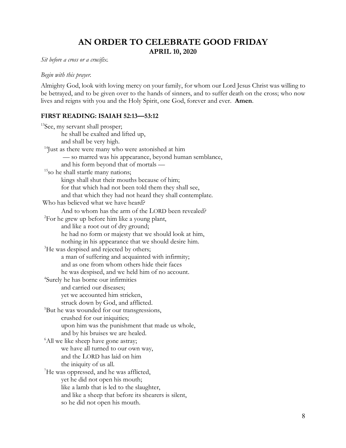#### **AN ORDER TO CELEBRATE GOOD FRIDAY APRIL 10, 2020**

*Sit before a cross or a crucifix.*

#### *Begin with this prayer.*

Almighty God, look with loving mercy on your family, for whom our Lord Jesus Christ was willing to be betrayed, and to be given over to the hands of sinners, and to suffer death on the cross; who now lives and reigns with you and the Holy Spirit, one God, forever and ever. **Amen**.

#### **FIRST READING: ISAIAH 52:13—53:12**

<sup>13</sup>See, my servant shall prosper; he shall be exalted and lifted up, and shall be very high.  $14$ Just as there were many who were astonished at him — so marred was his appearance, beyond human semblance, and his form beyond that of mortals — <sup>15</sup>so he shall startle many nations; kings shall shut their mouths because of him; for that which had not been told them they shall see, and that which they had not heard they shall contemplate. Who has believed what we have heard? And to whom has the arm of the LORD been revealed? 2 For he grew up before him like a young plant, and like a root out of dry ground; he had no form or majesty that we should look at him, nothing in his appearance that we should desire him. <sup>3</sup>He was despised and rejected by others; a man of suffering and acquainted with infirmity; and as one from whom others hide their faces he was despised, and we held him of no account. 4 Surely he has borne our infirmities and carried our diseases; yet we accounted him stricken, struck down by God, and afflicted. 5 But he was wounded for our transgressions, crushed for our iniquities; upon him was the punishment that made us whole, and by his bruises we are healed. <sup>6</sup>All we like sheep have gone astray; we have all turned to our own way, and the LORD has laid on him the iniquity of us all. <sup>7</sup>He was oppressed, and he was afflicted, yet he did not open his mouth; like a lamb that is led to the slaughter, and like a sheep that before its shearers is silent, so he did not open his mouth.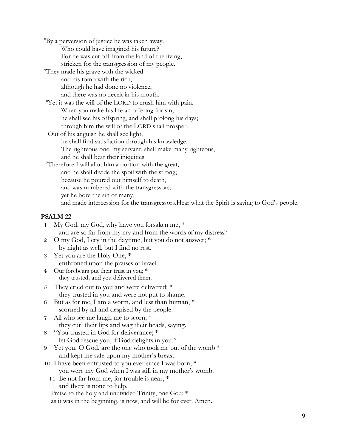8 By a perversion of justice he was taken away. Who could have imagined his future? For he was cut off from the land of the living, stricken for the transgression of my people.

<sup>9</sup>They made his grave with the wicked and his tomb with the rich, although he had done no violence, and there was no deceit in his mouth.

<sup>10</sup>Yet it was the will of the LORD to crush him with pain. When you make his life an offering for sin, he shall see his offspring, and shall prolong his days; through him the will of the LORD shall prosper.

 $11$ Out of his anguish he shall see light; he shall find satisfaction through his knowledge. The righteous one, my servant, shall make many righteous, and he shall bear their iniquities.

 $12$ Therefore I will allot him a portion with the great, and he shall divide the spoil with the strong; because he poured out himself to death, and was numbered with the transgressors; yet he bore the sin of many, and made intercession for the transgressors.Hear what the Spirit is saying to God's people.

#### **PSALM 22**

- 1 My God, my God, why have you forsaken me, \* and are so far from my cry and from the words of my distress?
- 2 O my God, I cry in the daytime, but you do not answer; \* by night as well, but I find no rest.
- 3 Yet you are the Holy One, \* enthroned upon the praises of Israel.
- 4 Our forebears put their trust in you; \* they trusted, and you delivered them.
- 5 They cried out to you and were delivered; \* they trusted in you and were not put to shame.
- 6 But as for me, I am a worm, and less than human, \* scorned by all and despised by the people.
- 7 All who see me laugh me to scorn; \* they curl their lips and wag their heads, saying,
- 8 "You trusted in God for deliverance; \* let God rescue you, if God delights in you."
- 9 Yet you, O God, are the one who took me out of the womb \* and kept me safe upon my mother's breast.
- 10 I have been entrusted to you ever since I was born; \* you were my God when I was still in my mother's womb.
	- 11 Be not far from me, for trouble is near, \* and there is none to help.

Praise to the holy and undivided Trinity, one God: \* as it was in the beginning, is now, and will be for ever. Amen.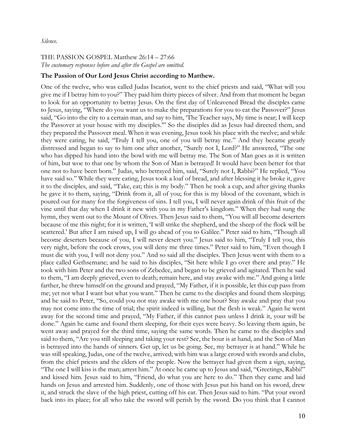#### *Silence.*

#### THE PASSION GOSPEL Matthew 26:14 – 27:66 *The customary responses before and after the Gospel are omitted.*

#### **The Passion of Our Lord Jesus Christ according to Matthew.**

One of the twelve, who was called Judas Iscariot, went to the chief priests and said, "What will you give me if I betray him to you?" They paid him thirty pieces of silver. And from that moment he began to look for an opportunity to betray Jesus. On the first day of Unleavened Bread the disciples came to Jesus, saying, "Where do you want us to make the preparations for you to eat the Passover?" Jesus said, "Go into the city to a certain man, and say to him, 'The Teacher says, My time is near; I will keep the Passover at your house with my disciples.'" So the disciples did as Jesus had directed them, and they prepared the Passover meal. When it was evening, Jesus took his place with the twelve; and while they were eating, he said, "Truly I tell you, one of you will betray me." And they became greatly distressed and began to say to him one after another, "Surely not I, Lord?" He answered, "The one who has dipped his hand into the bowl with me will betray me. The Son of Man goes as it is written of him, but woe to that one by whom the Son of Man is betrayed! It would have been better for that one not to have been born." Judas, who betrayed him, said, "Surely not I, Rabbi?" He replied, "You have said so." While they were eating, Jesus took a loaf of bread, and after blessing it he broke it, gave it to the disciples, and said, "Take, eat; this is my body." Then he took a cup, and after giving thanks he gave it to them, saying, "Drink from it, all of you; for this is my blood of the covenant, which is poured out for many for the forgiveness of sins. I tell you, I will never again drink of this fruit of the vine until that day when I drink it new with you in my Father's kingdom." When they had sung the hymn, they went out to the Mount of Olives. Then Jesus said to them, "You will all become deserters because of me this night; for it is written, 'I will strike the shepherd, and the sheep of the flock will be scattered.' But after I am raised up, I will go ahead of you to Galilee." Peter said to him, "Though all become deserters because of you, I will never desert you." Jesus said to him, "Truly I tell you, this very night, before the cock crows, you will deny me three times." Peter said to him, "Even though I must die with you, I will not deny you." And so said all the disciples. Then Jesus went with them to a place called Gethsemane; and he said to his disciples, "Sit here while I go over there and pray." He took with him Peter and the two sons of Zebedee, and began to be grieved and agitated. Then he said to them, "I am deeply grieved, even to death; remain here, and stay awake with me." And going a little farther, he threw himself on the ground and prayed, "My Father, if it is possible, let this cup pass from me; yet not what I want but what you want." Then he came to the disciples and found them sleeping; and he said to Peter, "So, could you not stay awake with me one hour? Stay awake and pray that you may not come into the time of trial; the spirit indeed is willing, but the flesh is weak." Again he went away for the second time and prayed, "My Father, if this cannot pass unless I drink it, your will be done." Again he came and found them sleeping, for their eyes were heavy. So leaving them again, he went away and prayed for the third time, saying the same words. Then he came to the disciples and said to them, "Are you still sleeping and taking your rest? See, the hour is at hand, and the Son of Man is betrayed into the hands of sinners. Get up, let us be going. See, my betrayer is at hand." While he was still speaking, Judas, one of the twelve, arrived; with him was a large crowd with swords and clubs, from the chief priests and the elders of the people. Now the betrayer had given them a sign, saying, "The one I will kiss is the man; arrest him." At once he came up to Jesus and said, "Greetings, Rabbi!" and kissed him. Jesus said to him, "Friend, do what you are here to do." Then they came and laid hands on Jesus and arrested him. Suddenly, one of those with Jesus put his hand on his sword, drew it, and struck the slave of the high priest, cutting off his ear. Then Jesus said to him. "Put your sword back into its place; for all who take the sword will perish by the sword. Do you think that I cannot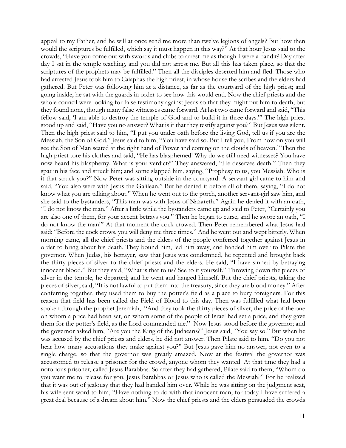appeal to my Father, and he will at once send me more than twelve legions of angels? But how then would the scriptures be fulfilled, which say it must happen in this way?" At that hour Jesus said to the crowds, "Have you come out with swords and clubs to arrest me as though I were a bandit? Day after day I sat in the temple teaching, and you did not arrest me. But all this has taken place, so that the scriptures of the prophets may be fulfilled." Then all the disciples deserted him and fled. Those who had arrested Jesus took him to Caiaphas the high priest, in whose house the scribes and the elders had gathered. But Peter was following him at a distance, as far as the courtyard of the high priest; and going inside, he sat with the guards in order to see how this would end. Now the chief priests and the whole council were looking for false testimony against Jesus so that they might put him to death, but they found none, though many false witnesses came forward. At last two came forward and said, "This fellow said, 'I am able to destroy the temple of God and to build it in three days.'" The high priest stood up and said, "Have you no answer? What is it that they testify against you?" But Jesus was silent. Then the high priest said to him, "I put you under oath before the living God, tell us if you are the Messiah, the Son of God." Jesus said to him, "You have said so. But I tell you, From now on you will see the Son of Man seated at the right hand of Power and coming on the clouds of heaven." Then the high priest tore his clothes and said, "He has blasphemed! Why do we still need witnesses? You have now heard his blasphemy. What is your verdict?" They answered, "He deserves death." Then they spat in his face and struck him; and some slapped him, saying, "Prophesy to us, you Messiah! Who is it that struck you?" Now Peter was sitting outside in the courtyard. A servant-girl came to him and said, "You also were with Jesus the Galilean." But he denied it before all of them, saying, "I do not know what you are talking about." When he went out to the porch, another servant-girl saw him, and she said to the bystanders, "This man was with Jesus of Nazareth." Again he denied it with an oath, "I do not know the man." After a little while the bystanders came up and said to Peter, "Certainly you are also one of them, for your accent betrays you." Then he began to curse, and he swore an oath, "I do not know the man!" At that moment the cock crowed. Then Peter remembered what Jesus had said: "Before the cock crows, you will deny me three times." And he went out and wept bitterly. When morning came, all the chief priests and the elders of the people conferred together against Jesus in order to bring about his death. They bound him, led him away, and handed him over to Pilate the governor. When Judas, his betrayer, saw that Jesus was condemned, he repented and brought back the thirty pieces of silver to the chief priests and the elders. He said, "I have sinned by betraying innocent blood." But they said, "What is that to us? See to it yourself." Throwing down the pieces of silver in the temple, he departed; and he went and hanged himself. But the chief priests, taking the pieces of silver, said, "It is not lawful to put them into the treasury, since they are blood money." After conferring together, they used them to buy the potter's field as a place to bury foreigners. For this reason that field has been called the Field of Blood to this day. Then was fulfilled what had been spoken through the prophet Jeremiah, "And they took the thirty pieces of silver, the price of the one on whom a price had been set, on whom some of the people of Israel had set a price, and they gave them for the potter's field, as the Lord commanded me." Now Jesus stood before the governor; and the governor asked him, "Are you the King of the Judaeans?" Jesus said, "You say so." But when he was accused by the chief priests and elders, he did not answer. Then Pilate said to him, "Do you not hear how many accusations they make against you?" But Jesus gave him no answer, not even to a single charge, so that the governor was greatly amazed. Now at the festival the governor was accustomed to release a prisoner for the crowd, anyone whom they wanted. At that time they had a notorious prisoner, called Jesus Barabbas. So after they had gathered, Pilate said to them, "Whom do you want me to release for you, Jesus Barabbas or Jesus who is called the Messiah?" For he realized that it was out of jealousy that they had handed him over. While he was sitting on the judgment seat, his wife sent word to him, "Have nothing to do with that innocent man, for today I have suffered a great deal because of a dream about him." Now the chief priests and the elders persuaded the crowds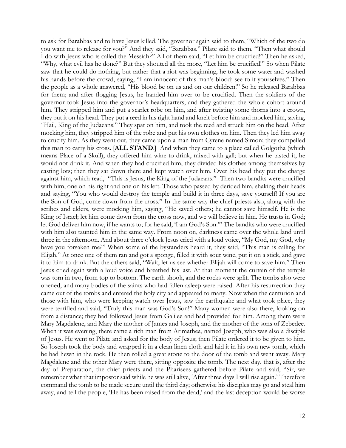to ask for Barabbas and to have Jesus killed. The governor again said to them, "Which of the two do you want me to release for you?" And they said, "Barabbas." Pilate said to them, "Then what should I do with Jesus who is called the Messiah?" All of them said, "Let him be crucified!" Then he asked, "Why, what evil has he done?" But they shouted all the more, "Let him be crucified!" So when Pilate saw that he could do nothing, but rather that a riot was beginning, he took some water and washed his hands before the crowd, saying, "I am innocent of this man's blood; see to it yourselves." Then the people as a whole answered, "His blood be on us and on our children!" So he released Barabbas for them; and after flogging Jesus, he handed him over to be crucified. Then the soldiers of the governor took Jesus into the governor's headquarters, and they gathered the whole cohort around him. They stripped him and put a scarlet robe on him, and after twisting some thorns into a crown, they put it on his head. They put a reed in his right hand and knelt before him and mocked him, saying, "Hail, King of the Judaeans!" They spat on him, and took the reed and struck him on the head. After mocking him, they stripped him of the robe and put his own clothes on him. Then they led him away to crucify him. As they went out, they came upon a man from Cyrene named Simon; they compelled this man to carry his cross. [**ALL STAND**.] And when they came to a place called Golgotha (which means Place of a Skull), they offered him wine to drink, mixed with gall; but when he tasted it, he would not drink it. And when they had crucified him, they divided his clothes among themselves by casting lots; then they sat down there and kept watch over him. Over his head they put the charge against him, which read, "This is Jesus, the King of the Judaeans." Then two bandits were crucified with him, one on his right and one on his left. Those who passed by derided him, shaking their heads and saying, "You who would destroy the temple and build it in three days, save yourself! If you are the Son of God, come down from the cross." In the same way the chief priests also, along with the scribes and elders, were mocking him, saying, "He saved others; he cannot save himself. He is the King of Israel; let him come down from the cross now, and we will believe in him. He trusts in God; let God deliver him now, if he wants to; for he said, 'I am God's Son.'" The bandits who were crucified with him also taunted him in the same way. From noon on, darkness came over the whole land until three in the afternoon. And about three o'clock Jesus cried with a loud voice, "My God, my God, why have you forsaken me?" When some of the bystanders heard it, they said, "This man is calling for Elijah." At once one of them ran and got a sponge, filled it with sour wine, put it on a stick, and gave it to him to drink. But the others said, "Wait, let us see whether Elijah will come to save him." Then Jesus cried again with a loud voice and breathed his last. At that moment the curtain of the temple was torn in two, from top to bottom. The earth shook, and the rocks were split. The tombs also were opened, and many bodies of the saints who had fallen asleep were raised. After his resurrection they came out of the tombs and entered the holy city and appeared to many. Now when the centurion and those with him, who were keeping watch over Jesus, saw the earthquake and what took place, they were terrified and said, "Truly this man was God's Son!" Many women were also there, looking on from a distance; they had followed Jesus from Galilee and had provided for him. Among them were Mary Magdalene, and Mary the mother of James and Joseph, and the mother of the sons of Zebedee. When it was evening, there came a rich man from Arimathea, named Joseph, who was also a disciple of Jesus. He went to Pilate and asked for the body of Jesus; then Pilate ordered it to be given to him. So Joseph took the body and wrapped it in a clean linen cloth and laid it in his own new tomb, which he had hewn in the rock. He then rolled a great stone to the door of the tomb and went away. Mary Magdalene and the other Mary were there, sitting opposite the tomb. The next day, that is, after the day of Preparation, the chief priests and the Pharisees gathered before Pilate and said, "Sir, we remember what that impostor said while he was still alive, 'After three days I will rise again.' Therefore command the tomb to be made secure until the third day; otherwise his disciples may go and steal him away, and tell the people, 'He has been raised from the dead,' and the last deception would be worse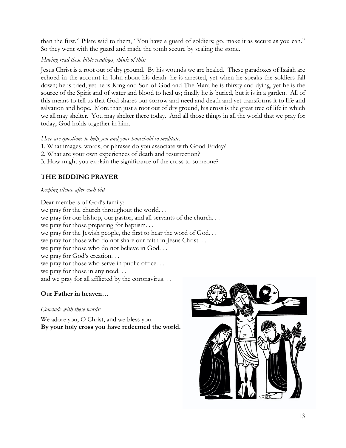than the first." Pilate said to them, "You have a guard of soldiers; go, make it as secure as you can." So they went with the guard and made the tomb secure by sealing the stone.

#### *Having read these bible readings, think of this:*

Jesus Christ is a root out of dry ground. By his wounds we are healed. These paradoxes of Isaiah are echoed in the account in John about his death: he is arrested, yet when he speaks the soldiers fall down; he is tried, yet he is King and Son of God and The Man; he is thirsty and dying, yet he is the source of the Spirit and of water and blood to heal us; finally he is buried, but it is in a garden. All of this means to tell us that God shares our sorrow and need and death and yet transforms it to life and salvation and hope. More than just a root out of dry ground, his cross is the great tree of life in which we all may shelter. You may shelter there today. And all those things in all the world that we pray for today, God holds together in him.

#### *Here are questions to help you and your household to meditate.*

- 1. What images, words, or phrases do you associate with Good Friday?
- 2. What are your own experiences of death and resurrection?
- 3. How might you explain the significance of the cross to someone?

#### **THE BIDDING PRAYER**

#### *keeping silence after each bid*

Dear members of God's family: we pray for the church throughout the world. . . we pray for our bishop, our pastor, and all servants of the church. . . we pray for those preparing for baptism. . . we pray for the Jewish people, the first to hear the word of God. . . we pray for those who do not share our faith in Jesus Christ. . . we pray for those who do not believe in God. . . we pray for God's creation. . . we pray for those who serve in public office. . . we pray for those in any need. . . and we pray for all afflicted by the coronavirus. . .

#### **Our Father in heaven…**

#### *Conclude with these words:*

We adore you, O Christ, and we bless you. **By your holy cross you have redeemed the world.**

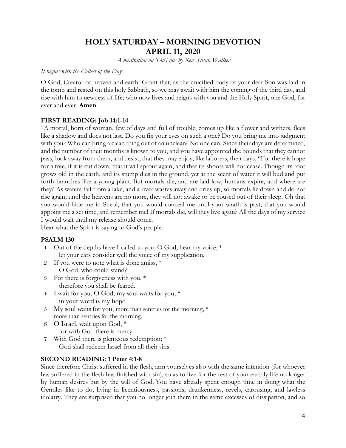#### **HOLY SATURDAY – MORNING DEVOTION APRIL 11, 2020**

*A meditation on YouTube by Rev. Susan Walker*

#### *It begins with the Collect of the Day:*

O God, Creator of heaven and earth: Grant that, as the crucified body of your dear Son was laid in the tomb and rested on this holy Sabbath, so we may await with him the coming of the third day, and rise with him to newness of life; who now lives and reigns with you and the Holy Spirit, one God, for ever and ever. **Amen***.*

#### **FIRST READING: Job 14:1-14**

"A mortal, born of woman, few of days and full of trouble, comes up like a flower and withers, flees like a shadow and does not last. Do you fix your eyes on such a one? Do you bring me into judgment with you? Who can bring a clean thing out of an unclean? No one can. Since their days are determined, and the number of their months is known to you, and you have appointed the bounds that they cannot pass, look away from them, and desist, that they may enjoy, like laborers, their days. "For there is hope for a tree, if it is cut down, that it will sprout again, and that its shoots will not cease. Though its root grows old in the earth, and its stump dies in the ground, yet at the scent of water it will bud and put forth branches like a young plant. But mortals die, and are laid low; humans expire, and where are they? As waters fail from a lake, and a river wastes away and dries up, so mortals lie down and do not rise again; until the heavens are no more, they will not awake or be roused out of their sleep. Oh that you would hide me in Sheol, that you would conceal me until your wrath is past, that you would appoint me a set time, and remember me! If mortals die, will they live again? All the days of my service I would wait until my release should come.

Hear what the Spirit is saying to God's people.

#### **PSALM 130**

- 1 Out of the depths have I called to you; O God, hear my voice; \* let your ears consider well the voice of my supplication.
- 2 If you were to note what is done amiss,  $*$ O God, who could stand?
- 3 For there is forgiveness with you, \* therefore you shall be feared.
- 4 I wait for you, O God; my soul waits for you; \* in your word is my hope.
- 5 My soul waits for you, more than sentries for the morning, \* more than sentries for the morning.
- 6 O Israel, wait upon God, \* for with God there is mercy.
- 7 With God there is plenteous redemption; \* God shall redeem Israel from all their sins.

#### **SECOND READING: 1 Peter 4:1-8**

Since therefore Christ suffered in the flesh, arm yourselves also with the same intention (for whoever has suffered in the flesh has finished with sin), so as to live for the rest of your earthly life no longer by human desires but by the will of God. You have already spent enough time in doing what the Gentiles like to do, living in licentiousness, passions, drunkenness, revels, carousing, and lawless idolatry. They are surprised that you no longer join them in the same excesses of dissipation, and so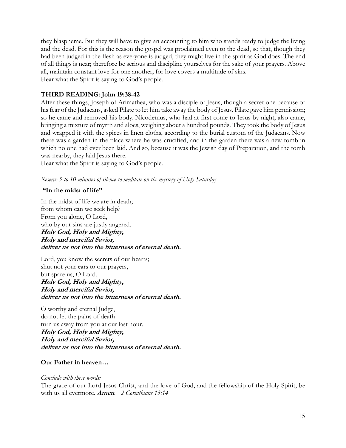they blaspheme. But they will have to give an accounting to him who stands ready to judge the living and the dead. For this is the reason the gospel was proclaimed even to the dead, so that, though they had been judged in the flesh as everyone is judged, they might live in the spirit as God does. The end of all things is near; therefore be serious and discipline yourselves for the sake of your prayers. Above all, maintain constant love for one another, for love covers a multitude of sins. Hear what the Spirit is saying to God's people.

#### **THIRD READING: John 19:38-42**

After these things, Joseph of Arimathea, who was a disciple of Jesus, though a secret one because of his fear of the Judaeans, asked Pilate to let him take away the body of Jesus. Pilate gave him permission; so he came and removed his body. Nicodemus, who had at first come to Jesus by night, also came, bringing a mixture of myrrh and aloes, weighing about a hundred pounds. They took the body of Jesus and wrapped it with the spices in linen cloths, according to the burial custom of the Judaeans. Now there was a garden in the place where he was crucified, and in the garden there was a new tomb in which no one had ever been laid. And so, because it was the Jewish day of Preparation, and the tomb was nearby, they laid Jesus there.

Hear what the Spirit is saying to God's people.

*Reserve 5 to 10 minutes of silence to meditate on the mystery of Holy Saturday.*

#### **"In the midst of life"**

In the midst of life we are in death; from whom can we seek help? From you alone, O Lord, who by our sins are justly angered. **Holy God, Holy and Mighty, Holy and merciful Savior, deliver us not into the bitterness of eternal death.**

Lord, you know the secrets of our hearts; shut not your ears to our prayers, but spare us, O Lord. **Holy God, Holy and Mighty, Holy and merciful Savior, deliver us not into the bitterness of eternal death.**

O worthy and eternal Judge, do not let the pains of death turn us away from you at our last hour. **Holy God, Holy and Mighty, Holy and merciful Savior, deliver us not into the bitterness of eternal death.**

#### **Our Father in heaven…**

#### *Conclude with these words:*

The grace of our Lord Jesus Christ, and the love of God, and the fellowship of the Holy Spirit, be with us all evermore. **Amen***. 2 Corinthians 13:14*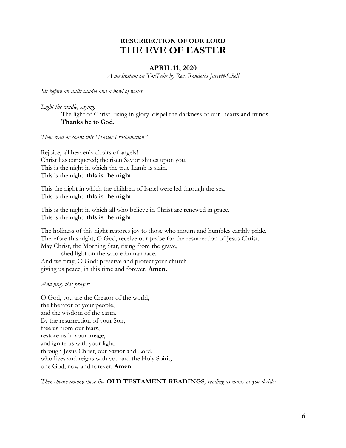#### **RESURRECTION OF OUR LORD THE EVE OF EASTER**

#### **APRIL 11, 2020**

*A meditation on YouTube by Rev. Rondesia Jarrett-Schell*

*Sit before an unlit candle and a bowl of water.*

#### *Light the candle, saying:* The light of Christ, rising in glory, dispel the darkness of our hearts and minds. **Thanks be to God.**

*Then read or chant this "Easter Proclamation"*

Rejoice, all heavenly choirs of angels! Christ has conquered; the risen Savior shines upon you. This is the night in which the true Lamb is slain. This is the night: **this is the night**.

This the night in which the children of Israel were led through the sea. This is the night: **this is the night**.

This is the night in which all who believe in Christ are renewed in grace. This is the night: **this is the night**.

The holiness of this night restores joy to those who mourn and humbles earthly pride. Therefore this night, O God, receive our praise for the resurrection of Jesus Christ. May Christ, the Morning Star, rising from the grave,

shed light on the whole human race. And we pray, O God: preserve and protect your church, giving us peace, in this time and forever. **Amen.**

#### *And pray this prayer:*

O God, you are the Creator of the world, the liberator of your people, and the wisdom of the earth. By the resurrection of your Son, free us from our fears, restore us in your image, and ignite us with your light, through Jesus Christ, our Savior and Lord, who lives and reigns with you and the Holy Spirit, one God, now and forever. **Amen**.

*Then choose among these five* **OLD TESTAMENT READINGS***, reading as many as you decide:*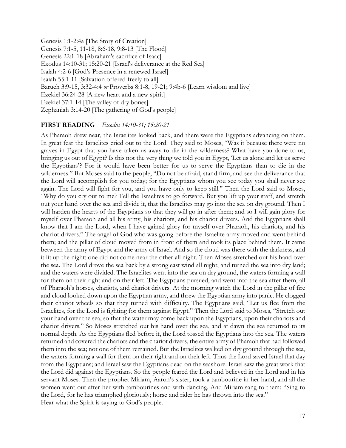Genesis 1:1-2:4a [The Story of Creation] Genesis 7:1-5, 11-18, 8:6-18, 9:8-13 [The Flood] Genesis 22:1-18 [Abraham's sacrifice of Isaac] Exodus 14:10-31; 15:20-21 [Israel's deliverance at the Red Sea] Isaiah 4:2-6 [God's Presence in a renewed Israel] Isaiah 55:1-11 [Salvation offered freely to all] Baruch 3:9-15, 3:32-4:4 *or* Proverbs 8:1-8, 19-21; 9:4b-6 [Learn wisdom and live] Ezekiel 36:24-28 [A new heart and a new spirit] Ezekiel 37:1-14 [The valley of dry bones] Zephaniah 3:14-20 [The gathering of God's people]

#### **FIRST READING** *Exodus 14:10-31; 15:20-21*

As Pharaoh drew near, the Israelites looked back, and there were the Egyptians advancing on them. In great fear the Israelites cried out to the Lord. They said to Moses, "Was it because there were no graves in Egypt that you have taken us away to die in the wilderness? What have you done to us, bringing us out of Egypt? Is this not the very thing we told you in Egypt, 'Let us alone and let us serve the Egyptians'? For it would have been better for us to serve the Egyptians than to die in the wilderness." But Moses said to the people, "Do not be afraid, stand firm, and see the deliverance that the Lord will accomplish for you today; for the Egyptians whom you see today you shall never see again. The Lord will fight for you, and you have only to keep still." Then the Lord said to Moses, "Why do you cry out to me? Tell the Israelites to go forward. But you lift up your staff, and stretch out your hand over the sea and divide it, that the Israelites may go into the sea on dry ground. Then I will harden the hearts of the Egyptians so that they will go in after them; and so I will gain glory for myself over Pharaoh and all his army, his chariots, and his chariot drivers. And the Egyptians shall know that I am the Lord, when I have gained glory for myself over Pharaoh, his chariots, and his chariot drivers." The angel of God who was going before the Israelite army moved and went behind them; and the pillar of cloud moved from in front of them and took its place behind them. It came between the army of Egypt and the army of Israel. And so the cloud was there with the darkness, and it lit up the night; one did not come near the other all night. Then Moses stretched out his hand over the sea. The Lord drove the sea back by a strong east wind all night, and turned the sea into dry land; and the waters were divided. The Israelites went into the sea on dry ground, the waters forming a wall for them on their right and on their left. The Egyptians pursued, and went into the sea after them, all of Pharaoh's horses, chariots, and chariot drivers. At the morning watch the Lord in the pillar of fire and cloud looked down upon the Egyptian army, and threw the Egyptian army into panic. He clogged their chariot wheels so that they turned with difficulty. The Egyptians said, "Let us flee from the Israelites, for the Lord is fighting for them against Egypt." Then the Lord said to Moses, "Stretch out your hand over the sea, so that the water may come back upon the Egyptians, upon their chariots and chariot drivers." So Moses stretched out his hand over the sea, and at dawn the sea returned to its normal depth. As the Egyptians fled before it, the Lord tossed the Egyptians into the sea. The waters returned and covered the chariots and the chariot drivers, the entire army of Pharaoh that had followed them into the sea; not one of them remained. But the Israelites walked on dry ground through the sea, the waters forming a wall for them on their right and on their left. Thus the Lord saved Israel that day from the Egyptians; and Israel saw the Egyptians dead on the seashore. Israel saw the great work that the Lord did against the Egyptians. So the people feared the Lord and believed in the Lord and in his servant Moses. Then the prophet Miriam, Aaron's sister, took a tambourine in her hand; and all the women went out after her with tambourines and with dancing. And Miriam sang to them: "Sing to the Lord, for he has triumphed gloriously; horse and rider he has thrown into the sea." Hear what the Spirit is saying to God's people.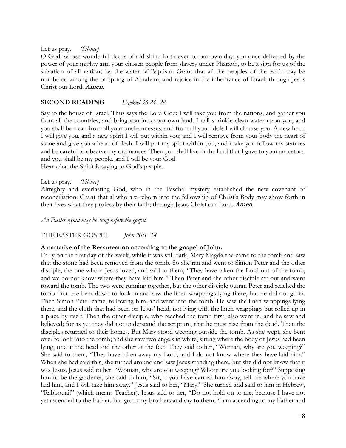#### Let us pray. *(Silence)*

O God, whose wonderful deeds of old shine forth even to our own day, you once delivered by the power of your mighty arm your chosen people from slavery under Pharaoh, to be a sign for us of the salvation of all nations by the water of Baptism: Grant that all the peoples of the earth may be numbered among the offspring of Abraham, and rejoice in the inheritance of Israel; through Jesus Christ our Lord. **Amen.**

#### **SECOND READING** *Ezekiel 36:24–28*

Say to the house of Israel, Thus says the Lord God: I will take you from the nations, and gather you from all the countries, and bring you into your own land. I will sprinkle clean water upon you, and you shall be clean from all your uncleannesses, and from all your idols I will cleanse you. A new heart I will give you, and a new spirit I will put within you; and I will remove from your body the heart of stone and give you a heart of flesh. I will put my spirit within you, and make you follow my statutes and be careful to observe my ordinances. Then you shall live in the land that I gave to your ancestors; and you shall be my people, and I will be your God.

Hear what the Spirit is saying to God's people.

#### Let us pray. *(Silence)*

Almighty and everlasting God, who in the Paschal mystery established the new covenant of reconciliation: Grant that al who are reborn into the fellowship of Christ's Body may show forth in their lives what they profess by their faith; through Jesus Christ our Lord. **Amen***.*

#### *An Easter hymn may be sung hefore the gospel.*

#### THE EASTER GOSPEL *John 20:1–18*

#### **A narrative of the Ressurection according to the gospel of John.**

Early on the first day of the week, while it was still dark, Mary Magdalene came to the tomb and saw that the stone had been removed from the tomb. So she ran and went to Simon Peter and the other disciple, the one whom Jesus loved, and said to them, "They have taken the Lord out of the tomb, and we do not know where they have laid him." Then Peter and the other disciple set out and went toward the tomb. The two were running together, but the other disciple outran Peter and reached the tomb first. He bent down to look in and saw the linen wrappings lying there, but he did not go in. Then Simon Peter came, following him, and went into the tomb. He saw the linen wrappings lying there, and the cloth that had been on Jesus' head, not lying with the linen wrappings but rolled up in a place by itself. Then the other disciple, who reached the tomb first, also went in, and he saw and believed; for as yet they did not understand the scripture, that he must rise from the dead. Then the disciples returned to their homes. But Mary stood weeping outside the tomb. As she wept, she bent over to look into the tomb; and she saw two angels in white, sitting where the body of Jesus had been lying, one at the head and the other at the feet. They said to her, "Woman, why are you weeping?" She said to them, "They have taken away my Lord, and I do not know where they have laid him." When she had said this, she turned around and saw Jesus standing there, but she did not know that it was Jesus. Jesus said to her, "Woman, why are you weeping? Whom are you looking for?" Supposing him to be the gardener, she said to him, "Sir, if you have carried him away, tell me where you have laid him, and I will take him away." Jesus said to her, "Mary!" She turned and said to him in Hebrew, "Rabbouni!" (which means Teacher). Jesus said to her, "Do not hold on to me, because I have not yet ascended to the Father. But go to my brothers and say to them, 'I am ascending to my Father and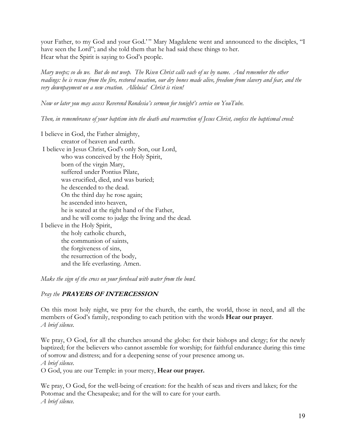your Father, to my God and your God.'" Mary Magdalene went and announced to the disciples, "I have seen the Lord"; and she told them that he had said these things to her. Hear what the Spirit is saying to God's people.

Mary weeps; so do we. But do not weep. The Risen Christ calls each of us by name. And remember the other readings: he is rescue from the fire, restored vocation, our dry bones made alive, freedom from slavery and fear, and the *very downpayment on a new creation. Alleluia! Christ is risen!*

*Now or later you may access Reverend Rondesia's sermon for tonight's service on YouTube.*

Then, in remembrance of your baptism into the death and resurrection of Jesus Christ, confess the baptismal creed:

I believe in God, the Father almighty, creator of heaven and earth. I believe in Jesus Christ, God's only Son, our Lord, who was conceived by the Holy Spirit, born of the virgin Mary, suffered under Pontius Pilate, was crucified, died, and was buried; he descended to the dead. On the third day he rose again; he ascended into heaven, he is seated at the right hand of the Father, and he will come to judge the living and the dead. I believe in the Holy Spirit, the holy catholic church, the communion of saints, the forgiveness of sins, the resurrection of the body, and the life everlasting. Amen.

*Make the sign of the cross on your forehead with water from the bowl.*

#### *Pray the* **PRAYERS OF INTERCESSION**

On this most holy night, we pray for the church, the earth, the world, those in need, and all the members of God's family, responding to each petition with the words **Hear our prayer**. *A brief silence.*

We pray, O God, for all the churches around the globe: for their bishops and clergy; for the newly baptized; for the believers who cannot assemble for worship; for faithful endurance during this time of sorrow and distress; and for a deepening sense of your presence among us. *A brief silence.*

O God, you are our Temple: in your mercy, **Hear our prayer.**

We pray, O God, for the well-being of creation: for the health of seas and rivers and lakes; for the Potomac and the Chesapeake; and for the will to care for your earth. *A brief silence.*